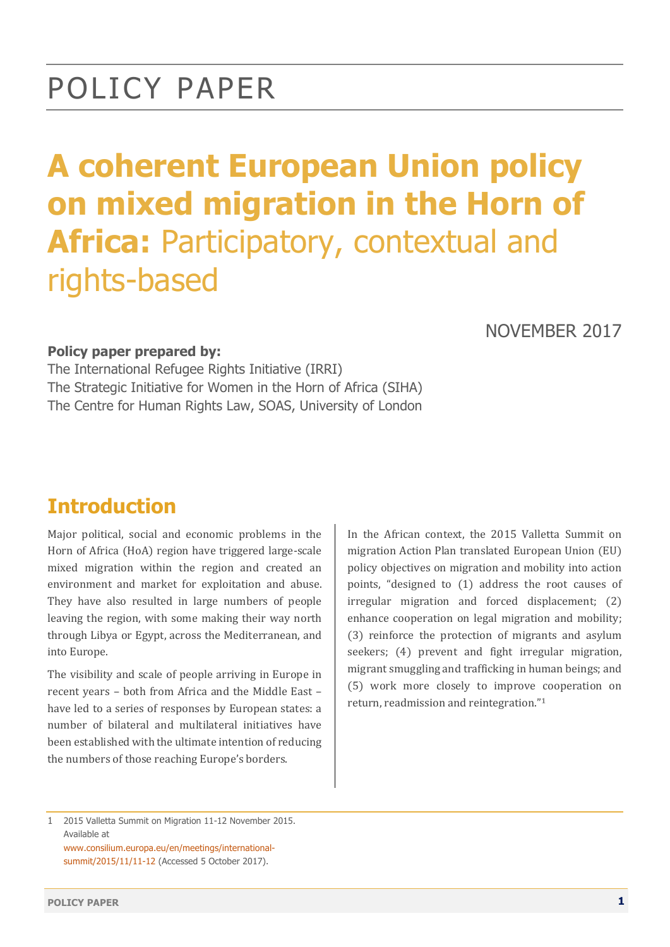## POLICY PAPER

# **A coherent European Union policy on mixed migration in the Horn of Africa:** Participatory, contextual and rights-based

#### NOVEMBER 2017

#### **Policy paper prepared by:**

The International Refugee Rights Initiative (IRRI) The Strategic Initiative for Women in the Horn of Africa (SIHA) The Centre for Human Rights Law, SOAS, University of London

## **Introduction**

Major political, social and economic problems in the Horn of Africa (HoA) region have triggered large-scale mixed migration within the region and created an environment and market for exploitation and abuse. They have also resulted in large numbers of people leaving the region, with some making their way north through Libya or Egypt, across the Mediterranean, and into Europe.

The visibility and scale of people arriving in Europe in recent years - both from Africa and the Middle East have led to a series of responses by European states: a number of bilateral and multilateral initiatives have been established with the ultimate intention of reducing the numbers of those reaching Europe's borders.

In the African context, the 2015 Valletta Summit on migration Action Plan translated European Union (EU) policy objectives on migration and mobility into action points, "designed to  $(1)$  address the root causes of  $irregular$  migration and forced displacement;  $(2)$ enhance cooperation on legal migration and mobility; (3) reinforce the protection of migrants and asylum seekers; (4) prevent and fight irregular migration, migrant smuggling and trafficking in human beings; and (5) work more closely to improve cooperation on return, readmission and reintegration."<sup>1</sup>

www.consilium.europa.eu/en/meetings/internationalsummit/2015/11/11-12 (Accessed 5 October 2017).

<sup>1</sup> 2015 Valletta Summit on Migration 11-12 November 2015. Available at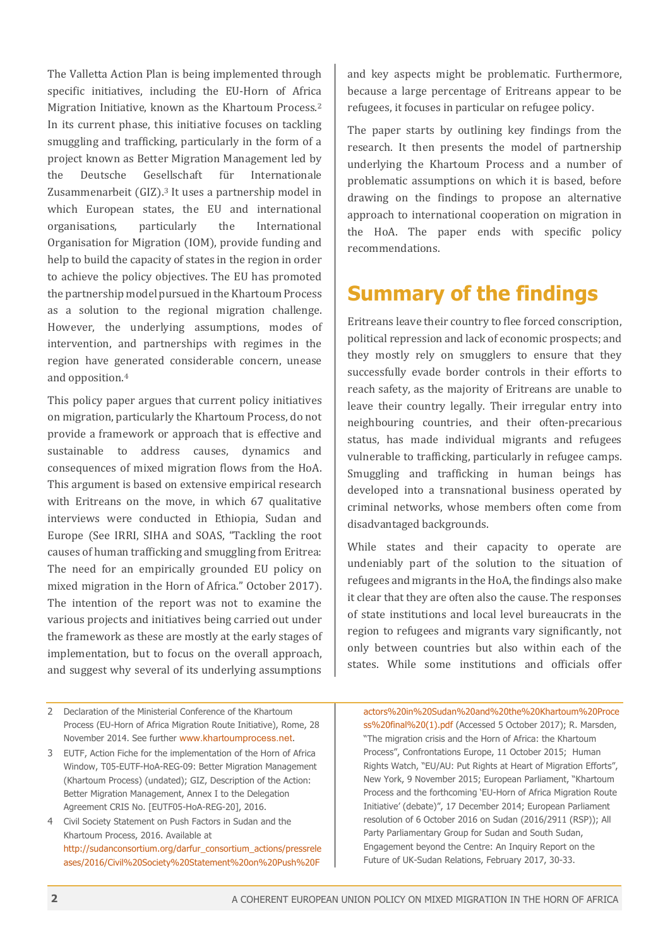The Valletta Action Plan is being implemented through specific initiatives, including the EU-Horn of Africa Migration Initiative, known as the Khartoum Process.<sup>2</sup> In its current phase, this initiative focuses on tackling smuggling and trafficking, particularly in the form of a project known as Better Migration Management led by the Deutsche Gesellschaft für Internationale Zusammenarbeit  $(GIZ).<sup>3</sup>$  It uses a partnership model in which European states, the EU and international organisations, particularly the International Organisation for Migration (IOM), provide funding and help to build the capacity of states in the region in order to achieve the policy objectives. The EU has promoted the partnership model pursued in the Khartoum Process as a solution to the regional migration challenge. However, the underlying assumptions, modes of intervention, and partnerships with regimes in the region have generated considerable concern, unease and opposition.**<sup>4</sup>**

This policy paper argues that current policy initiatives on migration, particularly the Khartoum Process, do not provide a framework or approach that is effective and sustainable to address causes, dynamics and consequences of mixed migration flows from the HoA. This argument is based on extensive empirical research with Eritreans on the move, in which 67 qualitative interviews were conducted in Ethiopia, Sudan and Europe (See IRRI, SIHA and SOAS, "Tackling the root causes of human trafficking and smuggling from Eritrea: The need for an empirically grounded EU policy on mixed migration in the Horn of Africa." October 2017). The intention of the report was not to examine the various projects and initiatives being carried out under the framework as these are mostly at the early stages of implementation, but to focus on the overall approach, and suggest why several of its underlying assumptions

- 2 Declaration of the Ministerial Conference of the Khartoum Process (EU-Horn of Africa Migration Route Initiative), Rome, 28 November 2014. See further www.khartoumprocess.net.
- 3 EUTF, Action Fiche for the implementation of the Horn of Africa Window, T05-EUTF-HoA-REG-09: Better Migration Management (Khartoum Process) (undated); GIZ, Description of the Action: Better Migration Management, Annex I to the Delegation Agreement CRIS No. [EUTF05-HoA-REG-20], 2016.
- 4 Civil Society Statement on Push Factors in Sudan and the Khartoum Process, 2016. Available at http://sudanconsortium.org/darfur\_consortium\_actions/pressrele ases/2016/Civil%20Society%20Statement%20on%20Push%20F

and key aspects might be problematic. Furthermore, because a large percentage of Eritreans appear to be refugees, it focuses in particular on refugee policy.

The paper starts by outlining key findings from the research. It then presents the model of partnership underlying the Khartoum Process and a number of problematic assumptions on which it is based, before drawing on the findings to propose an alternative approach to international cooperation on migration in the HoA. The paper ends with specific policy recommendations. 

#### **Summary of the findings**

Eritreans leave their country to flee forced conscription, political repression and lack of economic prospects; and they mostly rely on smugglers to ensure that they successfully evade border controls in their efforts to reach safety, as the majority of Eritreans are unable to leave their country legally. Their irregular entry into neighbouring countries, and their often-precarious status, has made individual migrants and refugees vulnerable to trafficking, particularly in refugee camps. Smuggling and trafficking in human beings has developed into a transnational business operated by criminal networks, whose members often come from disadvantaged backgrounds.

While states and their capacity to operate are undeniably part of the solution to the situation of refugees and migrants in the HoA, the findings also make it clear that they are often also the cause. The responses of state institutions and local level bureaucrats in the region to refugees and migrants vary significantly, not only between countries but also within each of the states. While some institutions and officials offer

actors%20in%20Sudan%20and%20the%20Khartoum%20Proce ss%20final%20(1).pdf (Accessed 5 October 2017); R. Marsden, "The migration crisis and the Horn of Africa: the Khartoum Process", Confrontations Europe, 11 October 2015; Human Rights Watch, "EU/AU: Put Rights at Heart of Migration Efforts", New York, 9 November 2015; European Parliament, "Khartoum Process and the forthcoming 'EU-Horn of Africa Migration Route Initiative' (debate)", 17 December 2014; European Parliament resolution of 6 October 2016 on Sudan (2016/2911 (RSP)); All Party Parliamentary Group for Sudan and South Sudan, Engagement beyond the Centre: An Inquiry Report on the Future of UK-Sudan Relations, February 2017, 30-33.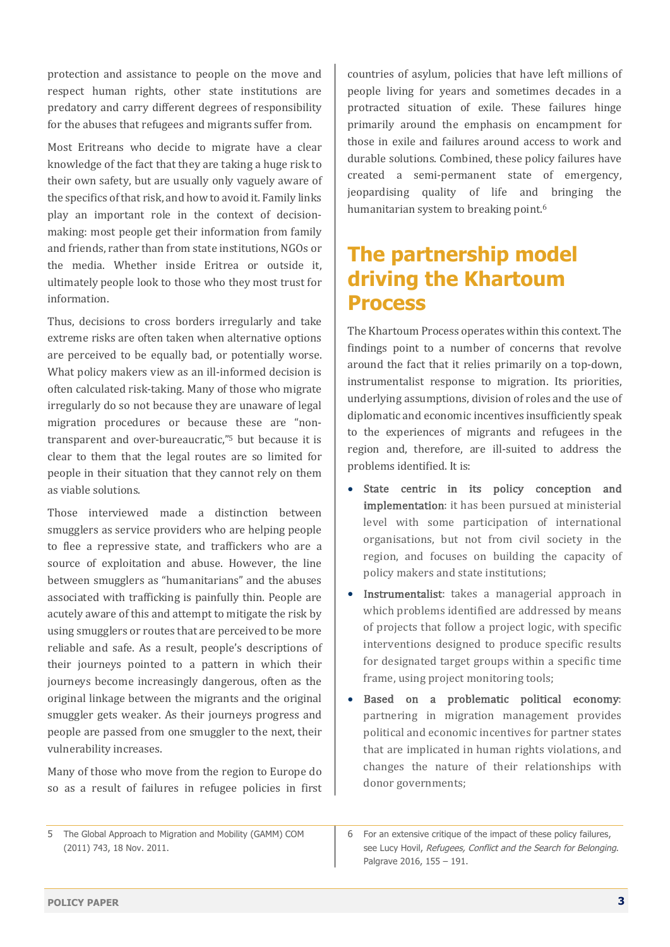protection and assistance to people on the move and respect human rights, other state institutions are predatory and carry different degrees of responsibility for the abuses that refugees and migrants suffer from.

Most Eritreans who decide to migrate have a clear knowledge of the fact that they are taking a huge risk to their own safety, but are usually only vaguely aware of the specifics of that risk, and how to avoid it. Family links play an important role in the context of decisionmaking: most people get their information from family and friends, rather than from state institutions, NGOs or the media. Whether inside Eritrea or outside it, ultimately people look to those who they most trust for information.

Thus, decisions to cross borders irregularly and take extreme risks are often taken when alternative options are perceived to be equally bad, or potentially worse. What policy makers view as an ill-informed decision is often calculated risk-taking. Many of those who migrate irregularly do so not because they are unaware of legal migration procedures or because these are "nontransparent and over-bureaucratic,"<sup>5</sup> but because it is clear to them that the legal routes are so limited for people in their situation that they cannot rely on them as viable solutions.

Those interviewed made a distinction between smugglers as service providers who are helping people to flee a repressive state, and traffickers who are a source of exploitation and abuse. However, the line between smugglers as "humanitarians" and the abuses associated with trafficking is painfully thin. People are acutely aware of this and attempt to mitigate the risk by using smugglers or routes that are perceived to be more reliable and safe. As a result, people's descriptions of their journeys pointed to a pattern in which their journeys become increasingly dangerous, often as the original linkage between the migrants and the original smuggler gets weaker. As their journeys progress and people are passed from one smuggler to the next, their vulnerability increases.

Many of those who move from the region to Europe do so as a result of failures in refugee policies in first

countries of asylum, policies that have left millions of people living for years and sometimes decades in a protracted situation of exile. These failures hinge primarily around the emphasis on encampment for those in exile and failures around access to work and durable solutions. Combined, these policy failures have created a semi-permanent state of emergency, jeopardising quality of life and bringing the humanitarian system to breaking point.<sup>6</sup>

## **The partnership model driving the Khartoum Process**

The Khartoum Process operates within this context. The findings point to a number of concerns that revolve around the fact that it relies primarily on a top-down, instrumentalist response to migration. Its priorities, underlying assumptions, division of roles and the use of diplomatic and economic incentives insufficiently speak to the experiences of migrants and refugees in the region and, therefore, are ill-suited to address the problems identified. It is:

- State centric in its policy conception and implementation: it has been pursued at ministerial level with some participation of international organisations, but not from civil society in the region, and focuses on building the capacity of policy makers and state institutions;
- Instrumentalist: takes a managerial approach in which problems identified are addressed by means of projects that follow a project logic, with specific interventions designed to produce specific results for designated target groups within a specific time frame, using project monitoring tools;
- Based on a problematic political economy: partnering in migration management provides political and economic incentives for partner states that are implicated in human rights violations, and changes the nature of their relationships with donor governments:

<sup>5</sup> The Global Approach to Migration and Mobility (GAMM) COM (2011) 743, 18 Nov. 2011.

<sup>6</sup> For an extensive critique of the impact of these policy failures, see Lucy Hovil, Refugees, Conflict and the Search for Belonging. Palgrave 2016, 155 – 191.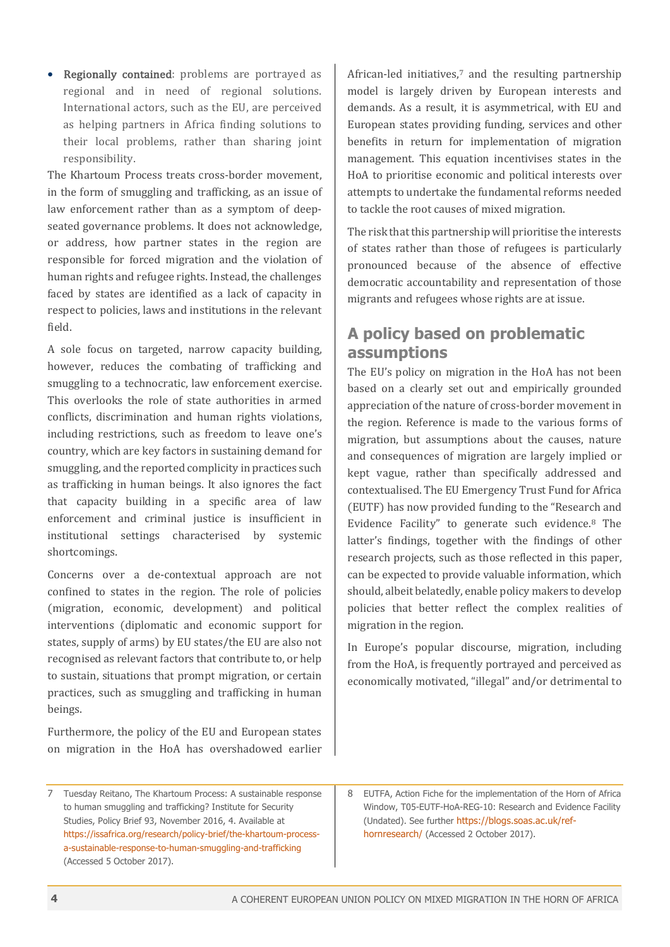• Regionally contained: problems are portrayed as regional and in need of regional solutions. International actors, such as the EU, are perceived as helping partners in Africa finding solutions to their local problems, rather than sharing joint responsibility. 

The Khartoum Process treats cross-border movement, in the form of smuggling and trafficking, as an issue of law enforcement rather than as a symptom of deepseated governance problems. It does not acknowledge, or address, how partner states in the region are responsible for forced migration and the violation of human rights and refugee rights. Instead, the challenges faced by states are identified as a lack of capacity in respect to policies, laws and institutions in the relevant field. 

A sole focus on targeted, narrow capacity building, however, reduces the combating of trafficking and smuggling to a technocratic, law enforcement exercise. This overlooks the role of state authorities in armed conflicts, discrimination and human rights violations. including restrictions, such as freedom to leave one's country, which are key factors in sustaining demand for smuggling, and the reported complicity in practices such as trafficking in human beings. It also ignores the fact that capacity building in a specific area of law enforcement and criminal justice is insufficient in institutional settings characterised by systemic shortcomings. 

Concerns over a de-contextual approach are not confined to states in the region. The role of policies (migration, economic, development) and political interventions (diplomatic and economic support for states, supply of arms) by EU states/the EU are also not recognised as relevant factors that contribute to, or help to sustain, situations that prompt migration, or certain practices, such as smuggling and trafficking in human beings.

Furthermore, the policy of the EU and European states on migration in the HoA has overshadowed earlier African-led initiatives,<sup>7</sup> and the resulting partnership model is largely driven by European interests and demands. As a result, it is asymmetrical, with EU and European states providing funding, services and other benefits in return for implementation of migration management. This equation incentivises states in the HoA to prioritise economic and political interests over attempts to undertake the fundamental reforms needed to tackle the root causes of mixed migration.

The risk that this partnership will prioritise the interests of states rather than those of refugees is particularly pronounced because of the absence of effective democratic accountability and representation of those migrants and refugees whose rights are at issue.

#### **A policy based on problematic assumptions**

The EU's policy on migration in the HoA has not been based on a clearly set out and empirically grounded appreciation of the nature of cross-border movement in the region. Reference is made to the various forms of migration, but assumptions about the causes, nature and consequences of migration are largely implied or kept vague, rather than specifically addressed and contextualised. The EU Emergency Trust Fund for Africa (EUTF) has now provided funding to the "Research and Evidence Facility" to generate such evidence.**<sup>8</sup>** The latter's findings, together with the findings of other research projects, such as those reflected in this paper, can be expected to provide valuable information, which should, albeit belatedly, enable policy makers to develop policies that better reflect the complex realities of migration in the region.

In Europe's popular discourse, migration, including from the HoA, is frequently portrayed and perceived as economically motivated, "illegal" and/or detrimental to

7 Tuesday Reitano, The Khartoum Process: A sustainable response to human smuggling and trafficking? Institute for Security Studies, Policy Brief 93, November 2016, 4. Available at https://issafrica.org/research/policy-brief/the-khartoum-processa-sustainable-response-to-human-smuggling-and-trafficking (Accessed 5 October 2017).

8 EUTFA, Action Fiche for the implementation of the Horn of Africa Window, T05-EUTF-HoA-REG-10: Research and Evidence Facility (Undated). See further https://blogs.soas.ac.uk/refhornresearch/ (Accessed 2 October 2017).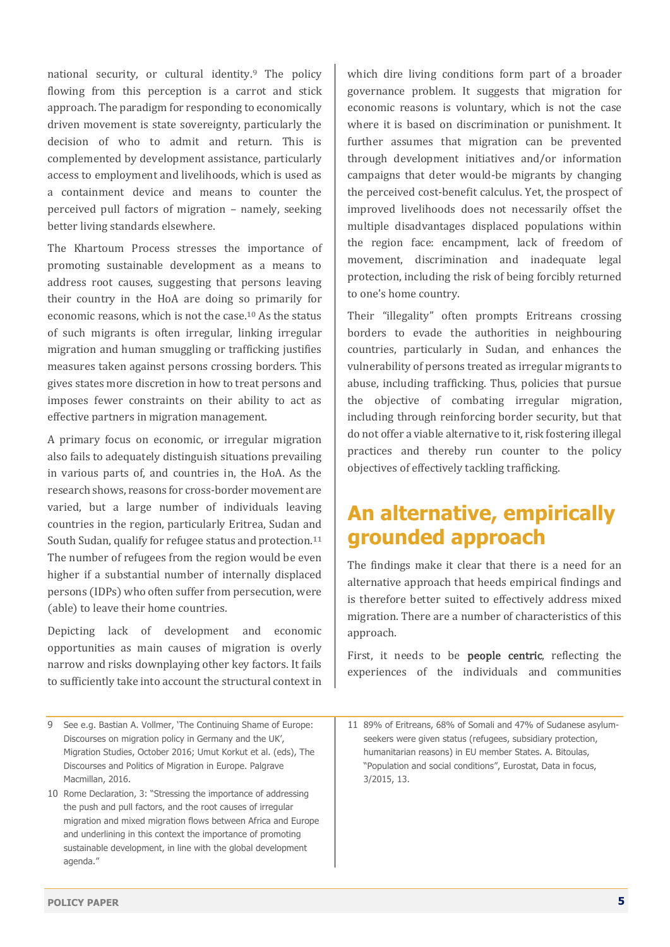national security, or cultural identity.<sup>9</sup> The policy flowing from this perception is a carrot and stick approach. The paradigm for responding to economically driven movement is state sovereignty, particularly the decision of who to admit and return. This is complemented by development assistance, particularly access to employment and livelihoods, which is used as a containment device and means to counter the perceived pull factors of migration - namely, seeking better living standards elsewhere.

The Khartoum Process stresses the importance of promoting sustainable development as a means to address root causes, suggesting that persons leaving their country in the HoA are doing so primarily for economic reasons, which is not the case.<sup>10</sup> As the status of such migrants is often irregular, linking irregular migration and human smuggling or trafficking justifies measures taken against persons crossing borders. This gives states more discretion in how to treat persons and imposes fewer constraints on their ability to act as effective partners in migration management.

A primary focus on economic, or irregular migration also fails to adequately distinguish situations prevailing in various parts of, and countries in, the HoA. As the research shows, reasons for cross-border movement are varied, but a large number of individuals leaving countries in the region, particularly Eritrea, Sudan and South Sudan, qualify for refugee status and protection.<sup>11</sup> The number of refugees from the region would be even higher if a substantial number of internally displaced persons (IDPs) who often suffer from persecution, were (able) to leave their home countries.

Depicting lack of development and economic opportunities as main causes of migration is overly narrow and risks downplaying other key factors. It fails to sufficiently take into account the structural context in

- 9 See e.g. Bastian A. Vollmer, 'The Continuing Shame of Europe: Discourses on migration policy in Germany and the UK', Migration Studies, October 2016; Umut Korkut et al. (eds), The Discourses and Politics of Migration in Europe. Palgrave Macmillan, 2016.
- 10 Rome Declaration, 3: "Stressing the importance of addressing the push and pull factors, and the root causes of irregular migration and mixed migration flows between Africa and Europe and underlining in this context the importance of promoting sustainable development, in line with the global development agenda."

which dire living conditions form part of a broader governance problem. It suggests that migration for economic reasons is voluntary, which is not the case where it is based on discrimination or punishment. It further assumes that migration can be prevented through development initiatives and/or information campaigns that deter would-be migrants by changing the perceived cost-benefit calculus. Yet, the prospect of improved livelihoods does not necessarily offset the multiple disadvantages displaced populations within the region face: encampment, lack of freedom of movement, discrimination and inadequate legal protection, including the risk of being forcibly returned to one's home country.

Their "illegality" often prompts Eritreans crossing borders to evade the authorities in neighbouring countries, particularly in Sudan, and enhances the vulnerability of persons treated as irregular migrants to abuse, including trafficking. Thus, policies that pursue the objective of combating irregular migration, including through reinforcing border security, but that do not offer a viable alternative to it, risk fostering illegal practices and thereby run counter to the policy objectives of effectively tackling trafficking.

## **An alternative, empirically grounded approach**

The findings make it clear that there is a need for an alternative approach that heeds empirical findings and is therefore better suited to effectively address mixed migration. There are a number of characteristics of this approach. 

First, it needs to be **people centric**, reflecting the experiences of the individuals and communities

11 89% of Eritreans, 68% of Somali and 47% of Sudanese asylumseekers were given status (refugees, subsidiary protection, humanitarian reasons) in EU member States. A. Bitoulas, "Population and social conditions", Eurostat, Data in focus, 3/2015, 13.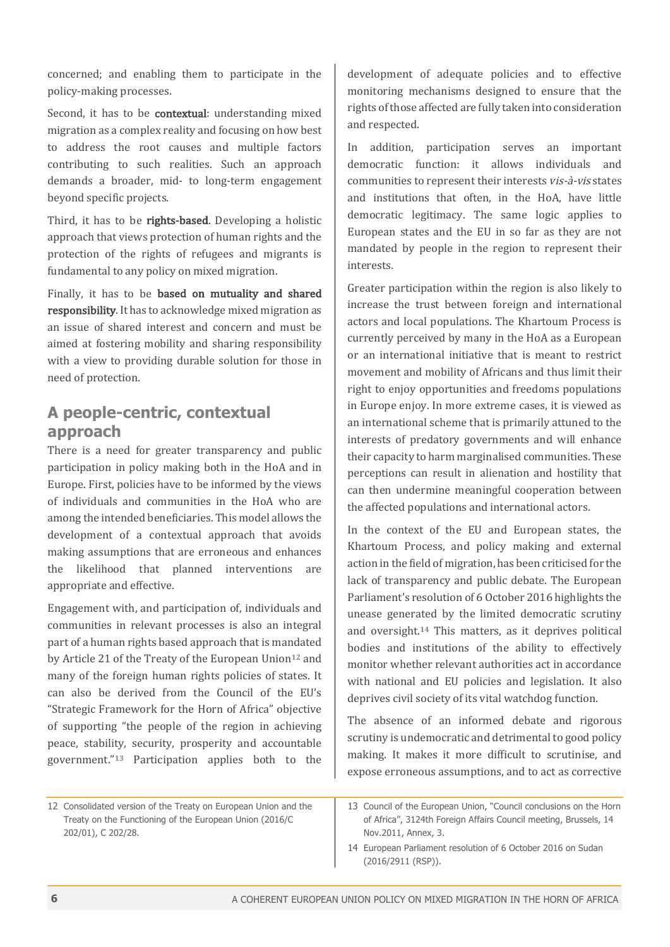concerned; and enabling them to participate in the policy-making processes.

Second, it has to be **contextual**: understanding mixed migration as a complex reality and focusing on how best to address the root causes and multiple factors contributing to such realities. Such an approach demands a broader, mid- to long-term engagement beyond specific projects.

Third, it has to be rights-based. Developing a holistic approach that views protection of human rights and the protection of the rights of refugees and migrants is fundamental to any policy on mixed migration.

Finally, it has to be **based** on mutuality and shared responsibility. It has to acknowledge mixed migration as an issue of shared interest and concern and must be aimed at fostering mobility and sharing responsibility with a view to providing durable solution for those in need of protection.

#### **A people-centric, contextual approach**

There is a need for greater transparency and public participation in policy making both in the HoA and in Europe. First, policies have to be informed by the views of individuals and communities in the HoA who are among the intended beneficiaries. This model allows the development of a contextual approach that avoids making assumptions that are erroneous and enhances the likelihood that planned interventions are appropriate and effective.

Engagement with, and participation of, individuals and communities in relevant processes is also an integral part of a human rights based approach that is mandated by Article 21 of the Treaty of the European Union<sup>12</sup> and many of the foreign human rights policies of states. It can also be derived from the Council of the EU's "Strategic Framework for the Horn of Africa" objective of supporting "the people of the region in achieving peace, stability, security, prosperity and accountable government."**<sup>13</sup>** Participation applies both to the  development of adequate policies and to effective monitoring mechanisms designed to ensure that the rights of those affected are fully taken into consideration and respected.

In addition, participation serves an important democratic function: it allows individuals and communities to represent their interests vis-à-vis states and institutions that often, in the HoA, have little democratic legitimacy. The same logic applies to European states and the EU in so far as they are not mandated by people in the region to represent their interests. 

Greater participation within the region is also likely to increase the trust between foreign and international actors and local populations. The Khartoum Process is currently perceived by many in the HoA as a European or an international initiative that is meant to restrict movement and mobility of Africans and thus limit their right to enjoy opportunities and freedoms populations in Europe enjoy. In more extreme cases, it is viewed as an international scheme that is primarily attuned to the interests of predatory governments and will enhance their capacity to harm marginalised communities. These perceptions can result in alienation and hostility that can then undermine meaningful cooperation between the affected populations and international actors.

In the context of the EU and European states, the Khartoum Process, and policy making and external action in the field of migration, has been criticised for the lack of transparency and public debate. The European Parliament's resolution of 6 October 2016 highlights the unease generated by the limited democratic scrutiny and oversight.<sup>14</sup> This matters, as it deprives political bodies and institutions of the ability to effectively monitor whether relevant authorities act in accordance with national and EU policies and legislation. It also deprives civil society of its vital watchdog function.

The absence of an informed debate and rigorous scrutiny is undemocratic and detrimental to good policy making. It makes it more difficult to scrutinise, and expose erroneous assumptions, and to act as corrective

12 Consolidated version of the Treaty on European Union and the Treaty on the Functioning of the European Union (2016/C 202/01), C 202/28.

<sup>13</sup> Council of the European Union, "Council conclusions on the Horn of Africa", 3124th Foreign Affairs Council meeting, Brussels, 14 Nov.2011, Annex, 3.

<sup>14</sup> European Parliament resolution of 6 October 2016 on Sudan (2016/2911 (RSP)).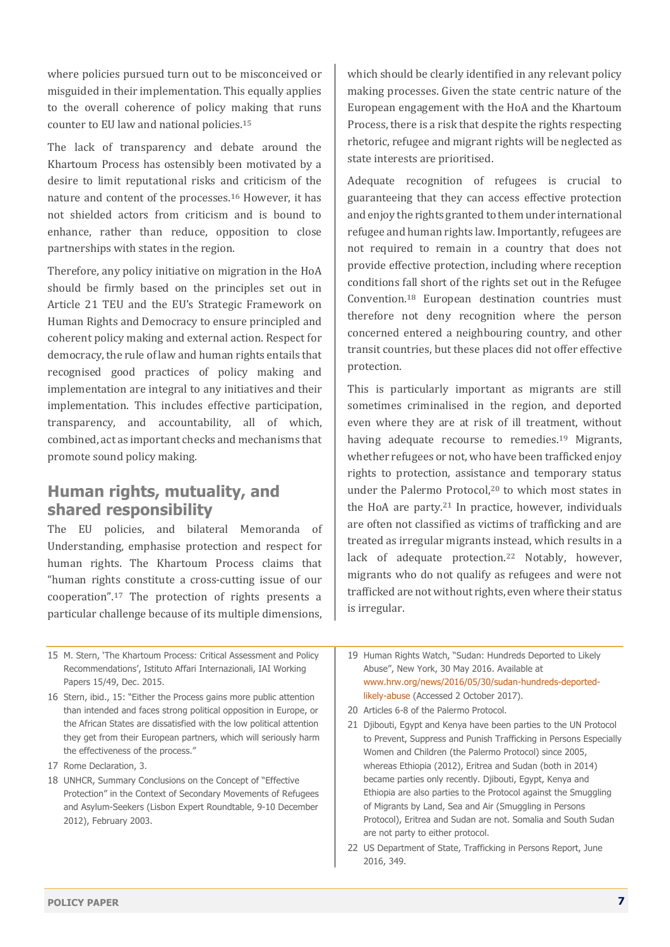where policies pursued turn out to be misconceived or misguided in their implementation. This equally applies to the overall coherence of policy making that runs counter to EU law and national policies.<sup>15</sup>

The lack of transparency and debate around the Khartoum Process has ostensibly been motivated by a desire to limit reputational risks and criticism of the nature and content of the processes.<sup>16</sup> However, it has not shielded actors from criticism and is bound to enhance, rather than reduce, opposition to close partnerships with states in the region.

Therefore, any policy initiative on migration in the HoA should be firmly based on the principles set out in Article 21 TEU and the EU's Strategic Framework on Human Rights and Democracy to ensure principled and coherent policy making and external action. Respect for democracy, the rule of law and human rights entails that recognised good practices of policy making and implementation are integral to any initiatives and their implementation. This includes effective participation, transparency, and accountability, all of which, combined, act as important checks and mechanisms that promote sound policy making.

#### **Human rights, mutuality, and shared responsibility**

The EU policies, and bilateral Memoranda of Understanding, emphasise protection and respect for human rights. The Khartoum Process claims that "human rights constitute a cross-cutting issue of our cooperation".<sup>17</sup> The protection of rights presents a particular challenge because of its multiple dimensions, which should be clearly identified in any relevant policy making processes. Given the state centric nature of the European engagement with the HoA and the Khartoum Process, there is a risk that despite the rights respecting rhetoric, refugee and migrant rights will be neglected as state interests are prioritised.

Adequate recognition of refugees is crucial to guaranteeing that they can access effective protection and enjoy the rights granted to them under international refugee and human rights law. Importantly, refugees are not required to remain in a country that does not provide effective protection, including where reception conditions fall short of the rights set out in the Refugee Convention.**<sup>18</sup>** European destination countries must therefore not deny recognition where the person concerned entered a neighbouring country, and other transit countries, but these places did not offer effective protection.

This is particularly important as migrants are still sometimes criminalised in the region, and deported even where they are at risk of ill treatment, without having adequate recourse to remedies.<sup>19</sup> Migrants, whether refugees or not, who have been trafficked enjoy rights to protection, assistance and temporary status under the Palermo Protocol,<sup>20</sup> to which most states in the HoA are party. $21$  In practice, however, individuals are often not classified as victims of trafficking and are treated as irregular migrants instead, which results in a lack of adequate protection.<sup>22</sup> Notably, however, migrants who do not qualify as refugees and were not trafficked are not without rights, even where their status is irregular.

15 M. Stern, 'The Khartoum Process: Critical Assessment and Policy Recommendations', Istituto Affari Internazionali, IAI Working Papers 15/49, Dec. 2015.

16 Stern, ibid., 15: "Either the Process gains more public attention than intended and faces strong political opposition in Europe, or the African States are dissatisfied with the low political attention they get from their European partners, which will seriously harm the effectiveness of the process."

- 17 Rome Declaration, 3.
- 18 UNHCR, Summary Conclusions on the Concept of "Effective Protection" in the Context of Secondary Movements of Refugees and Asylum-Seekers (Lisbon Expert Roundtable, 9-10 December 2012), February 2003.
- 19 Human Rights Watch, "Sudan: Hundreds Deported to Likely Abuse", New York, 30 May 2016. Available at www.hrw.org/news/2016/05/30/sudan-hundreds-deportedlikely-abuse (Accessed 2 October 2017).
- 20 Articles 6-8 of the Palermo Protocol.
- 21 Djibouti, Egypt and Kenya have been parties to the UN Protocol to Prevent, Suppress and Punish Trafficking in Persons Especially Women and Children (the Palermo Protocol) since 2005, whereas Ethiopia (2012), Eritrea and Sudan (both in 2014) became parties only recently. Djibouti, Egypt, Kenya and Ethiopia are also parties to the Protocol against the Smuggling of Migrants by Land, Sea and Air (Smuggling in Persons Protocol), Eritrea and Sudan are not. Somalia and South Sudan are not party to either protocol.
- 22 US Department of State, Trafficking in Persons Report, June 2016, 349.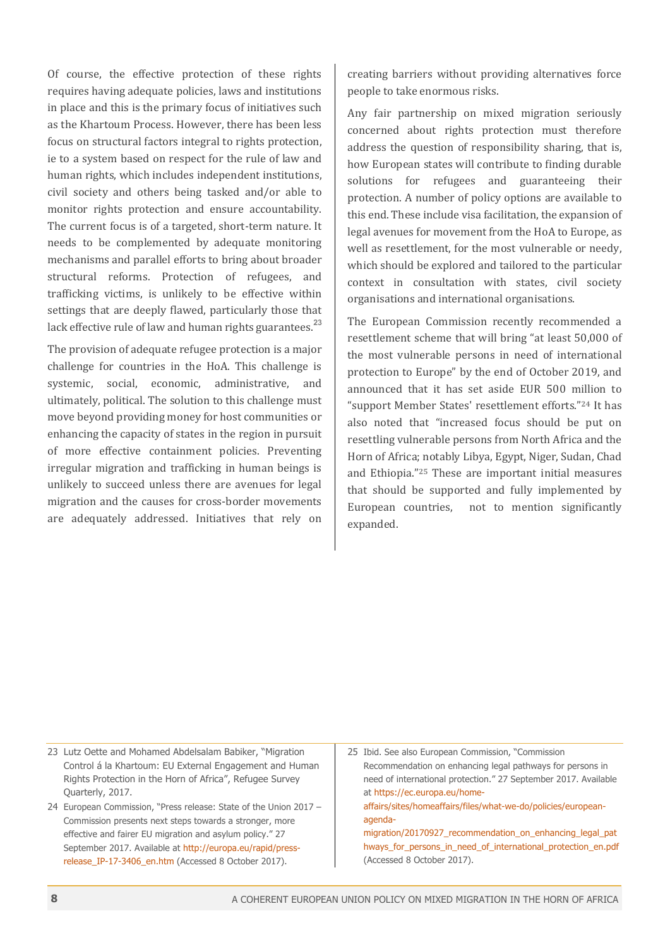Of course, the effective protection of these rights requires having adequate policies, laws and institutions in place and this is the primary focus of initiatives such as the Khartoum Process. However, there has been less focus on structural factors integral to rights protection, ie to a system based on respect for the rule of law and human rights, which includes independent institutions, civil society and others being tasked and/or able to monitor rights protection and ensure accountability. The current focus is of a targeted, short-term nature. It needs to be complemented by adequate monitoring mechanisms and parallel efforts to bring about broader structural reforms. Protection of refugees, and trafficking victims, is unlikely to be effective within settings that are deeply flawed, particularly those that lack effective rule of law and human rights guarantees.<sup>23</sup>

The provision of adequate refugee protection is a major challenge for countries in the HoA. This challenge is systemic, social, economic, administrative, and ultimately, political. The solution to this challenge must move beyond providing money for host communities or enhancing the capacity of states in the region in pursuit of more effective containment policies. Preventing irregular migration and trafficking in human beings is unlikely to succeed unless there are avenues for legal migration and the causes for cross-border movements are adequately addressed. Initiatives that rely on

creating barriers without providing alternatives force people to take enormous risks.

Any fair partnership on mixed migration seriously concerned about rights protection must therefore address the question of responsibility sharing, that is, how European states will contribute to finding durable solutions for refugees and guaranteeing their protection. A number of policy options are available to this end. These include visa facilitation, the expansion of legal avenues for movement from the HoA to Europe, as well as resettlement, for the most vulnerable or needy, which should be explored and tailored to the particular context in consultation with states, civil society organisations and international organisations.

The European Commission recently recommended a resettlement scheme that will bring "at least 50,000 of the most vulnerable persons in need of international protection to Europe" by the end of October 2019, and announced that it has set aside EUR 500 million to "support Member States' resettlement efforts."**<sup>24</sup>** It has also noted that "increased focus should be put on resettling vulnerable persons from North Africa and the Horn of Africa; notably Libya, Egypt, Niger, Sudan, Chad and Ethiopia."<sup>25</sup> These are important initial measures that should be supported and fully implemented by European countries, not to mention significantly expanded.

23 Lutz Oette and Mohamed Abdelsalam Babiker, "Migration Control á la Khartoum: EU External Engagement and Human Rights Protection in the Horn of Africa", Refugee Survey Quarterly, 2017.

24 European Commission, "Press release: State of the Union 2017 – Commission presents next steps towards a stronger, more effective and fairer EU migration and asylum policy." 27 September 2017. Available at http://europa.eu/rapid/pressrelease IP-17-3406 en.htm (Accessed 8 October 2017).

25 Ibid. See also European Commission, "Commission Recommendation on enhancing legal pathways for persons in need of international protection." 27 September 2017. Available at https://ec.europa.eu/homeaffairs/sites/homeaffairs/files/what-we-do/policies/europeanagendamigration/20170927\_recommendation\_on\_enhancing\_legal\_pat hways for persons in need of international protection en.pdf

(Accessed 8 October 2017).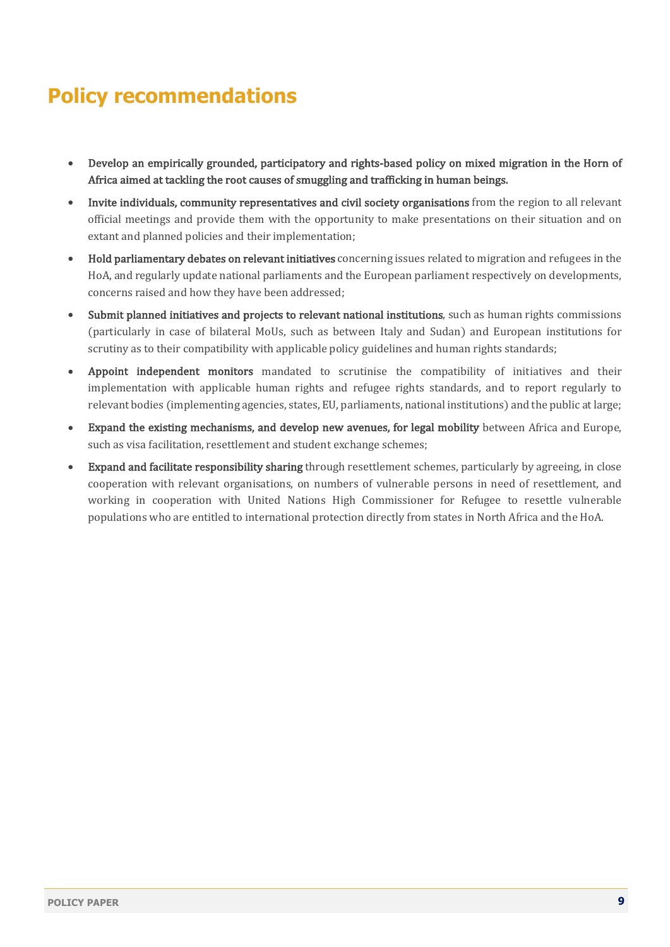## **Policy recommendations**

- Develop an empirically grounded, participatory and rights-based policy on mixed migration in the Horn of Africa aimed at tackling the root causes of smuggling and trafficking in human beings.
- Invite individuals, community representatives and civil society organisations from the region to all relevant official meetings and provide them with the opportunity to make presentations on their situation and on extant and planned policies and their implementation;
- Hold parliamentary debates on relevant initiatives concerning issues related to migration and refugees in the HoA, and regularly update national parliaments and the European parliament respectively on developments, concerns raised and how they have been addressed:
- Submit planned initiatives and projects to relevant national institutions, such as human rights commissions (particularly in case of bilateral MoUs, such as between Italy and Sudan) and European institutions for scrutiny as to their compatibility with applicable policy guidelines and human rights standards;
- Appoint independent monitors mandated to scrutinise the compatibility of initiatives and their implementation with applicable human rights and refugee rights standards, and to report regularly to relevant bodies (implementing agencies, states, EU, parliaments, national institutions) and the public at large;
- Expand the existing mechanisms, and develop new avenues, for legal mobility between Africa and Europe, such as visa facilitation, resettlement and student exchange schemes;
- **Expand and facilitate responsibility sharing** through resettlement schemes, particularly by agreeing, in close cooperation with relevant organisations, on numbers of vulnerable persons in need of resettlement, and working in cooperation with United Nations High Commissioner for Refugee to resettle vulnerable populations who are entitled to international protection directly from states in North Africa and the HoA.